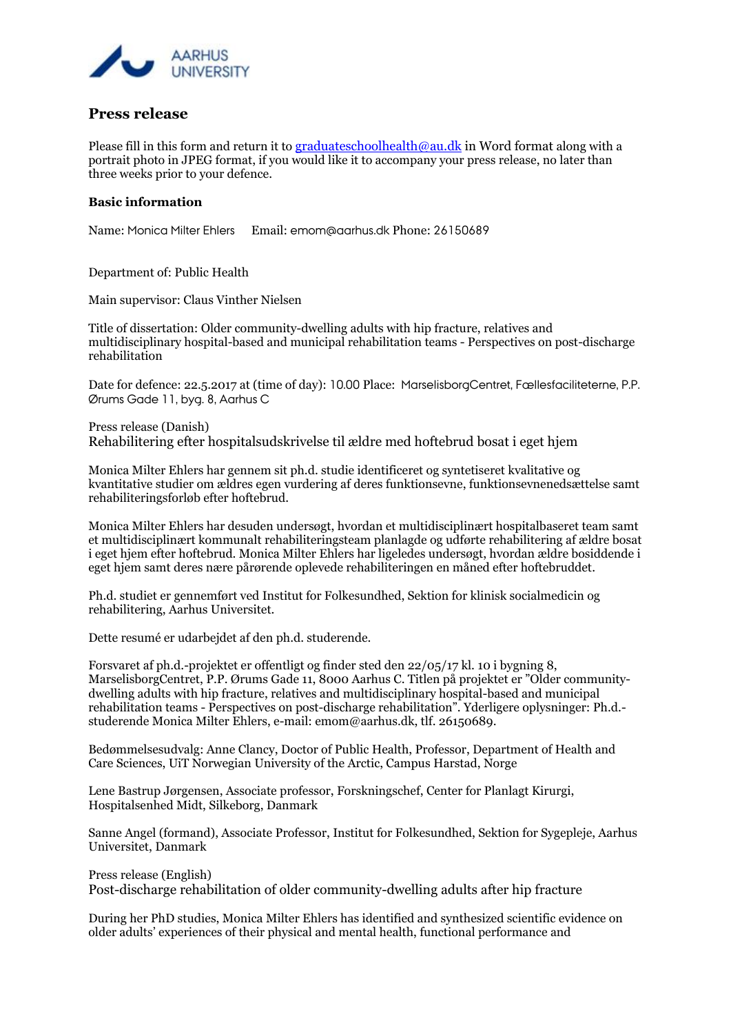

## **Press release**

Please fill in this form and return it to [graduateschoolhealth@au.dk](mailto:graduateschoolhealth@au.dk) in Word format along with a portrait photo in JPEG format, if you would like it to accompany your press release, no later than three weeks prior to your defence.

## **Basic information**

Name: Monica Milter Ehlers Email: emom@aarhus.dk Phone: 26150689

## Department of: Public Health

Main supervisor: Claus Vinther Nielsen

Title of dissertation: Older community-dwelling adults with hip fracture, relatives and multidisciplinary hospital-based and municipal rehabilitation teams - Perspectives on post-discharge rehabilitation

Date for defence: 22.5.2017 at (time of day): 10.00 Place: MarselisborgCentret, Fællesfaciliteterne, P.P. Ørums Gade 11, byg. 8, Aarhus C

Press release (Danish) Rehabilitering efter hospitalsudskrivelse til ældre med hoftebrud bosat i eget hjem

Monica Milter Ehlers har gennem sit ph.d. studie identificeret og syntetiseret kvalitative og kvantitative studier om ældres egen vurdering af deres funktionsevne, funktionsevnenedsættelse samt rehabiliteringsforløb efter hoftebrud.

Monica Milter Ehlers har desuden undersøgt, hvordan et multidisciplinært hospitalbaseret team samt et multidisciplinært kommunalt rehabiliteringsteam planlagde og udførte rehabilitering af ældre bosat i eget hjem efter hoftebrud. Monica Milter Ehlers har ligeledes undersøgt, hvordan ældre bosiddende i eget hjem samt deres nære pårørende oplevede rehabiliteringen en måned efter hoftebruddet.

Ph.d. studiet er gennemført ved Institut for Folkesundhed, Sektion for klinisk socialmedicin og rehabilitering, Aarhus Universitet.

Dette resumé er udarbejdet af den ph.d. studerende.

Forsvaret af ph.d.-projektet er offentligt og finder sted den 22/05/17 kl. 10 i bygning 8, MarselisborgCentret, P.P. Ørums Gade 11, 8000 Aarhus C. Titlen på projektet er "Older communitydwelling adults with hip fracture, relatives and multidisciplinary hospital-based and municipal rehabilitation teams - Perspectives on post-discharge rehabilitation". Yderligere oplysninger: Ph.d. studerende Monica Milter Ehlers, e-mail: emom@aarhus.dk, tlf. 26150689.

Bedømmelsesudvalg: Anne Clancy, Doctor of Public Health, Professor, Department of Health and Care Sciences, UiT Norwegian University of the Arctic, Campus Harstad, Norge

Lene Bastrup Jørgensen, Associate professor, Forskningschef, Center for Planlagt Kirurgi, Hospitalsenhed Midt, Silkeborg, Danmark

Sanne Angel (formand), Associate Professor, Institut for Folkesundhed, Sektion for Sygepleje, Aarhus Universitet, Danmark

Press release (English) Post-discharge rehabilitation of older community-dwelling adults after hip fracture

During her PhD studies, Monica Milter Ehlers has identified and synthesized scientific evidence on older adults' experiences of their physical and mental health, functional performance and